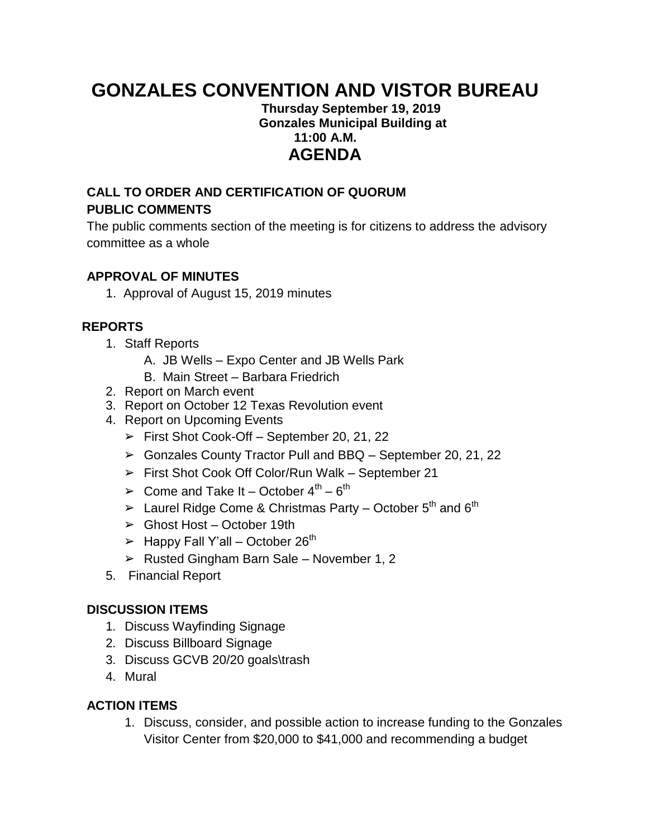# **GONZALES CONVENTION AND VISTOR BUREAU**

#### **Thursday September 19, 2019 Gonzales Municipal Building at 11:00 A.M. AGENDA**

## **CALL TO ORDER AND CERTIFICATION OF QUORUM PUBLIC COMMENTS**

The public comments section of the meeting is for citizens to address the advisory committee as a whole

#### **APPROVAL OF MINUTES**

1. Approval of August 15, 2019 minutes

### **REPORTS**

- 1. Staff Reports
	- A. JB Wells Expo Center and JB Wells Park
	- B. Main Street Barbara Friedrich
- 2. Report on March event
- 3. Report on October 12 Texas Revolution event
- 4. Report on Upcoming Events
	- $\triangleright$  First Shot Cook-Off September 20, 21, 22
	- ➢ Gonzales County Tractor Pull and BBQ September 20, 21, 22
	- ➢ First Shot Cook Off Color/Run Walk September 21
	- $\triangleright$  Come and Take It October 4<sup>th</sup> 6<sup>th</sup>
	- $\triangleright$  Laurel Ridge Come & Christmas Party October 5<sup>th</sup> and 6<sup>th</sup>
	- $\triangleright$  Ghost Host October 19th
	- $\blacktriangleright$  Happy Fall Y'all October 26<sup>th</sup>
	- $\triangleright$  Rusted Gingham Barn Sale November 1, 2
- 5. Financial Report

#### **DISCUSSION ITEMS**

- 1. Discuss Wayfinding Signage
- 2. Discuss Billboard Signage
- 3. Discuss GCVB 20/20 goals\trash
- 4. Mural

### **ACTION ITEMS**

1. Discuss, consider, and possible action to increase funding to the Gonzales Visitor Center from \$20,000 to \$41,000 and recommending a budget